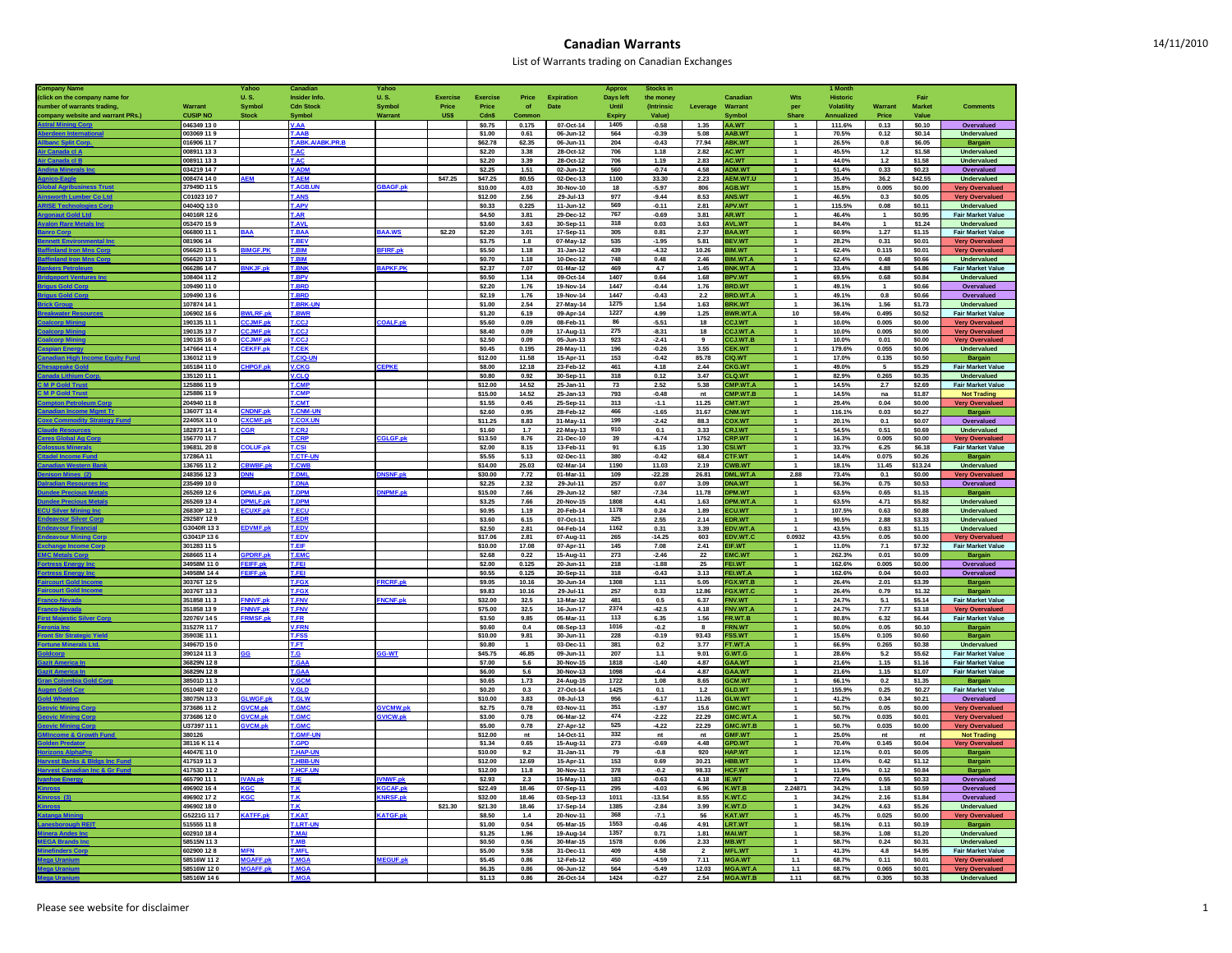## **Canadian Warrants**

| Company                          |                            | Yahoo                         | Cana                         | Yahoo           |                 |                    |                        |                            | <b>Approx</b>    | Stocks ir                 |                |                               |                                        | 1 Mont          |                |                  |                                                  |
|----------------------------------|----------------------------|-------------------------------|------------------------------|-----------------|-----------------|--------------------|------------------------|----------------------------|------------------|---------------------------|----------------|-------------------------------|----------------------------------------|-----------------|----------------|------------------|--------------------------------------------------|
| (click on the company name for   |                            | <b>U.S.</b>                   | Insider Info.                | <b>U.S.</b>     | <b>Exercise</b> | Exercise           | Price                  | Expiration                 | <b>Days left</b> | the money                 |                | Canadian                      | Wts                                    | <b>Historic</b> |                | Fair             |                                                  |
| number of warrants trading,      | Warrant                    | <b>Symbol</b>                 | <b>Cdn Stock</b>             | <b>Symbol</b>   | Price           | Price              | of                     | Date                       | Until            | <i><b>(Intrinsic)</b></i> | Leverage       | Warrant                       | per                                    | Volatility      | Warrant        | <b>Market</b>    | <b>Comments</b>                                  |
| company website and warrant PRs. | <b>CUSIP NO</b>            | <b>Stock</b>                  | Symbol                       | Warran          | US\$            | Cdn\$              | Commor                 |                            | <b>Expiry</b>    | Value)                    |                | Symbo                         | Share                                  | Annualized      | Price          | Value            |                                                  |
| tral Minin                       | 046349 130                 |                               | <b>V.AA</b>                  |                 |                 | \$0.75             | 0.175                  | 07-Oct-14                  | 1405             | $-0.58$                   | 1.35           | AA.WT                         |                                        | 111.6%          | 0.13           | \$0.10           | Overvalued                                       |
|                                  | 003069 11 9                |                               | T AAR                        |                 |                 | \$1.00             | 0.61                   | 06-Jun-12                  | 564              | $-0.39$                   | 5.08           | AAB.WT                        | $\overline{1}$                         | 70.5%           | 0.12           | \$0.14           | Undervalued                                      |
|                                  | 016906 117                 |                               | <b>LABK.A/ABK.PR.E</b>       |                 |                 | \$62.78            | 62.35                  | 06-Jun-11                  | 204              | $-0.43$                   | 77.94          | <b>BK.WT</b>                  | $\mathbf{1}$                           | 26.5%           | 0.8            | \$6.05           | <b>Bargain</b>                                   |
| r Canada el A                    | 008911 133                 |                               | <b>LAC</b>                   |                 |                 | \$2.20             | 3.38                   | 28-Oct-12                  | 706              | 1.18                      | 2.82           | <b>AC.WT</b>                  | $\overline{1}$                         | 45.5%           | 1.2            | \$1.58           | <b>Undervalued</b>                               |
| r Canada el B                    | 008911 133                 |                               | <b>T.AC</b>                  |                 |                 | \$2.20             | 3.39                   | 28-Oct-12                  | 706              | 1.19                      | 2.83           | <b>IC.WT</b>                  | $\overline{1}$                         | 44.0%           | 1.2            | \$1.58           | Undervalued                                      |
|                                  | 034219 14 7                |                               | <b>LADI</b>                  |                 |                 | \$2.25             | 1.51                   | 02-Jun-12                  | 560              | $-0.74$                   | 4.58           | DM.W                          | $\mathbf{1}$<br>$\overline{1}$         | 51.4%           | 0.33           | \$0.23           | Overvalued                                       |
|                                  | 008474 14 0<br>37949D 11.5 | <b>EM</b>                     | <b>T.AEM</b><br><b>AGRII</b> |                 | \$47.25         | \$47.25            | 80.55                  | 02-Dec-13                  | 1100<br>18       | 33.30                     | 2.23           | AEM.WT.                       | $\overline{1}$                         | 35.4%           | 36.2           | \$42.55          | Undervalued                                      |
| r Co Lt                          |                            |                               | <b>ANS</b>                   | <b>BAGF.pk</b>  |                 | \$10.00<br>\$12.00 | 4.03                   | 30-Nov-10<br>29-Jul-13     |                  | $-5.97$<br>$-9.44$        | 806            | AGB.WT                        | $\overline{1}$                         | 15.8%           | 0.005<br>0.3   | \$0.00<br>\$0.05 | <b>Very Overvalued</b>                           |
|                                  | C01023107<br>04040Q 130    |                               |                              |                 |                 |                    | 2.56                   |                            | 977<br>569       |                           | 8.53<br>2.81   | <b>INS.WT</b>                 | $\overline{1}$                         | 46.5%<br>115.5% | 0.08           |                  | <b>Very Overvalued</b><br>Undervalued            |
| t Gold Ltd                       | 04016R 126                 |                               | <b>LAPV</b><br>T.AR          |                 |                 | \$0.33<br>\$4.50   | 0.225<br>3.81          | $11 - Jun-12$<br>29-Dec-12 | 767              | $-0.11$<br>$-0.69$        | 3.81           | APV.WT<br><b>IR.WT</b>        | $\overline{1}$                         | 46.4%           | $\overline{1}$ | \$0.11<br>\$0.95 | <b>Fair Market Value</b>                         |
|                                  | 053470 159                 |                               | <b>AVL</b>                   |                 |                 | \$3.60             | 3.63                   | 30-Sep-11                  | 318              | 0.03                      | 3.63           | <b>VL.WT</b>                  | $\overline{1}$                         | 84.4%           | $\overline{1}$ | \$1.24           | Undervalued                                      |
|                                  | 066800 11 1                | <b>AA</b>                     | T.BAA                        | <b>BAA.WS</b>   | \$2.20          | \$2.20             | 3.01                   | 17-Sep-11                  | 305              | 0.81                      | 2.37           | <b>SAA.WT</b>                 | $\overline{1}$                         | 60.9%           | 1.27           | \$1.15           | <b>Fair Market Value</b>                         |
|                                  | 081906 14                  |                               | <b>T.BEV</b>                 |                 |                 | \$3.75             | 1.8                    | 07-May-12                  | 535              | $-1.95$                   | 5.81           | <b>JEV.WT</b>                 |                                        | 28.2%           | 0.31           | \$0.01           | <b>Very Overvalued</b>                           |
| Mne Cor                          | 056620 115                 | <b>IMGF.PK</b>                | <b>T.BIM</b>                 | <b>FIRE.pk</b>  |                 | \$5.50             | 1.18                   | 31-Jan-12                  | 439              | $-4.32$                   | 10.26          | <b>IM.WT</b>                  | $\overline{1}$                         | 62.4%           | 0.115          | \$0.01           | <b>Very Overvalued</b>                           |
|                                  | 056620 13 1                |                               | <b>BIM</b>                   |                 |                 | \$0.70             | 1.18                   | 10-Dec-12                  | 748              | 0.48                      | 2.46           | IM.WT.                        | $\mathbf{1}$                           | 62.4%           | 0.48           | \$0.66           | Undervalued                                      |
|                                  | 066286 147                 | <b>NKJF.n</b>                 | <b>FRNK</b>                  | <b>APKF.PK</b>  |                 | \$2.37             | 7.07                   | 01-Mar-12                  | 469              | 4.7                       | 1.45           | <b>SNK.WT.A</b>               |                                        | 33.4%           | 4.88           | \$4.86           | <b>Fair Market Value</b>                         |
| <b>ort Ver</b>                   | 108404 11 2                |                               | <b>T.BPV</b>                 |                 |                 | \$0.50             | 1.14                   | 09-Oct-14                  | 1407             | 0.64                      | 1.68           | <b>SPV.WT</b>                 | $\overline{1}$                         | 69.5%           | 0.68           | \$0.84           | Undervalued                                      |
|                                  | 09490 11 0                 |                               |                              |                 |                 | \$2.20             | 1.76                   | 19-Nov-14                  | 1447             | $-0.44$                   | 1.76           | <b>RD.WT</b>                  | $\mathbf{1}$                           | 49.1%           | $\overline{1}$ | \$0.66           | Overvalued                                       |
|                                  | 109490 136                 |                               | <b>T.BRD</b>                 |                 |                 | \$2.19             | 1.76                   | 19-Nov-14                  | 1447             | $-0.43$                   | 2.2            | <b>RD.WT.A</b>                | $\overline{1}$                         | 49.1%           | 0.8            | \$0.66           | Overvalued                                       |
|                                  | 107874 14 1                |                               | <b>T.BRK-UN</b>              |                 |                 | \$1.00             | 2.54                   | 27-May-14                  | 1275             | 1.54                      | 1.63           | <b>SRK.WT</b>                 | $\overline{1}$                         | 36.1%           | 1.56           | \$1.73           | Undervalued                                      |
|                                  | 06902 166                  | LRF.p                         |                              |                 |                 | \$1.20             | 6.19                   | 09-Apr-14                  | 1227             | 4.99                      | 1.25           | WR.WT.                        | 10                                     | 59.4%           | 0.495          | \$0.52           | <b>Fair Market Value</b>                         |
|                                  | 190135 11 1                | CJMF.pk                       | <b>LCCJ</b>                  | COALE.nk        |                 | \$5.60             | 0.09                   | 08-Feb-11                  | 86               | $-5.51$                   | 18             | CCJ.WT                        | $\overline{1}$                         | 10.0%           | 0.005          | \$0.00           | <b>Very Overvalued</b>                           |
|                                  | 190135 137                 | CJMF.pk                       | <b>LCCJ</b>                  |                 |                 | \$8.40             | 0.09                   | 17-Aug-11                  | 275              | $-8.31$                   | 18             | CJ.WT.A                       | $\overline{1}$                         | 10.0%           | 0.005          | \$0.00           | <b>Very Overvalued</b>                           |
|                                  | 190135 160                 | CJMF.nl                       | r.cc.                        |                 |                 | \$2.50             | 0.09                   | 05-Jun-13                  | 923              | $-2.41$                   | 9              | CJ.WT.                        | $\overline{1}$                         | 10.0%           | 0.01           | \$0.00           | <b>Very Overvalued</b>                           |
|                                  | 147664 114                 | <b>EKFF.pk</b>                | <b>T.CEK</b>                 |                 |                 | \$0.45             | 0.195                  | 28-May-11                  | 196              | $-0.26$                   | 3.55           | <b>CEK.WT</b>                 | $\overline{1}$                         | 179.6%          | 0.055          | \$0.06           | Undervalued                                      |
|                                  | 36012 119                  |                               | T.CIQ-UI                     |                 |                 | \$12.00            | 11.58                  | 15-Apr-11                  | 153              | $-0.42$                   | 85.78          | <b>IQ.WT</b>                  | $\overline{1}$                         | 17.0%           | 0.135          | \$0.50           | Bargain                                          |
|                                  | 65184 110                  | <b>IPGF.pl</b>                | <b>V.CKG</b>                 | <b>CEPKE</b>    |                 | \$8.00             | 12.18                  | 23-Feb-12                  | 461              | 4.18                      | 2.44           | <b>:KG.WT</b>                 | $\mathbf{1}$                           | 49.0%           | 5              | \$5.29           | <b>Fair Market Value</b>                         |
|                                  | 135120 11 1                |                               | <b>V.CLQ</b>                 |                 |                 | \$0.80             | 0.92                   | 30-Sep-11                  | 318              | 0.12                      | 3.47           | <b>LQ.WT</b>                  | $\overline{1}$                         | 82.9%           | 0.265          | \$0.35           | Undervalued                                      |
| <b>I P Gold Tru</b>              | 125886 119<br>25886 119    |                               | <b>CMP</b>                   |                 |                 | \$12.00            | 14.52                  | 25-Jan-11                  | 73               | 2.52                      | 5.38           | MP.WT./                       |                                        | 14.5%           | 2.7            | \$2.69           | <b>Fair Market Value</b>                         |
| <b>MPGold Tru</b>                |                            |                               | <b>CMP</b>                   |                 |                 | \$15.00            | 14.52                  | 25-Jan-13                  | 793              | $-0.48$                   | nt             | MP.WT.B                       | $\overline{1}$<br>$\ddot{\phantom{1}}$ | 14.5%           | na             | \$1.87           | <b>Not Trading</b>                               |
|                                  | 204940 118<br>3607T 114    | <b>NDNF.pl</b>                | .CMT<br><b>CNM-U</b>         |                 |                 | \$1.55             | 0.45                   | 25-Sep-11                  | 313              | $-1.1$                    | 11.25          | <b>MT.WT</b>                  | $\overline{1}$                         | 29.4%           | 0.04           | \$0.00           | <b>Very Overvalued</b>                           |
| eav Fu                           | 22405X 110                 |                               |                              |                 |                 | \$2.60<br>\$11.25  | 0.95<br>8.83           | 28-Feb-12<br>31-May-11     | 466<br>199       | $-1.65$<br>$-2.42$        | 31.67<br>88.3  | <b>NM.WT</b><br><b>COX.WT</b> | $\overline{1}$                         | 116.1%<br>20.1% | 0.03<br>0.1    | \$0.27<br>\$0.07 | Bargain<br>Overvalued                            |
|                                  | 82873 14 1                 | <b>XCMF.pk</b>                | <b>T.COX.UN</b><br>.CRJ      |                 |                 | \$1.60             | 1.7                    | 22-May-13                  | 910              | 0.1                       | 3.33           | <b>RJ.WT</b>                  | $\mathbf{1}$                           | 54.5%           | 0.51           | \$0.69           | Undervalued                                      |
|                                  | 156770 117                 |                               | <b>T.CRP</b>                 | <b>GLGF.pl</b>  |                 | \$13.50            | 8.76                   | 21-Dec-10                  | 39               | $-4.74$                   | 1752           | <b>CRP.WT</b>                 | $\overline{1}$                         | 16.3%           | 0.005          | \$0.00           | <b>Very Overvalued</b>                           |
|                                  | 19681L 208                 | OLUF.pk                       | <b>T.CSI</b>                 |                 |                 | \$2.00             | 8.15                   | 13-Feb-11                  | 91               | 6.15                      | 1.30           | SI.WT                         | $\overline{1}$                         | 33.7%           | 6.25           | \$6.18           | Fair Market Value                                |
|                                  | 7286A 11                   |                               | CTF-                         |                 |                 | \$5.55             | 5.13                   | 02-Dec-11                  | 380              | $-0.42$                   | 68.4           | <b>TF.WT</b>                  | $\overline{1}$                         | 14.4%           | 0.075          | \$0.26           | Bargain                                          |
|                                  | 136765 11 2                | <b>BWBF.pl</b>                | <b>T.CWE</b>                 |                 |                 | \$14.00            | 25.03                  | 02-Mar-14                  | 1190             | 11.03                     | 2.19           | WB.WT                         | $\overline{1}$                         | 18.1%           | 11.45          | \$13.24          | Undervalued                                      |
|                                  | 248356 123                 | <b>NN</b>                     | <b>T.DML</b>                 | <b>NSNF.pk</b>  |                 | \$30.00            | 7.72                   | 01-Mar-11                  | 109              | $-22.28$                  | 26.81          | ML.WT.A                       | 2.88                                   | 73.4%           | 0.1            | \$0.00           | <b>Very Overvalued</b>                           |
|                                  | 235499 10 0                |                               | <b>DNA</b>                   |                 |                 | \$2.25             | 2.32                   | 29-Jul-11                  | 257              | 0.07                      | 3.09           | <b>NA.WT</b>                  | $\mathbf{1}$                           | 56.3%           | 0.75           | \$0.53           | Overvalued                                       |
|                                  | 265269 126                 | <b>PMLF.nk</b>                | <b>T.DPM</b>                 | NPMF.nk         |                 | \$15.00            | 7.66                   | 29-Jun-12                  | 587              | $-7.34$                   | 11.78          | <b>PM.WT</b>                  | $\overline{1}$                         | 63.5%           | 0.65           | \$1.15           | Bargain                                          |
|                                  | 265269 13 4                | PMLF.pl                       | <b>T.DPM</b>                 |                 |                 | \$3.25             | 7.66                   | 20-Nov-15                  | 1808             | 4.41                      | 1.63           | PM.WT.A                       | $\overline{1}$                         | 63.5%           | 4.71           | \$5.82           | Undervalued                                      |
|                                  | 26830P 121                 | <b>CUXF.pl</b>                | <b>T.ECU</b>                 |                 |                 | \$0.95             | 1.19                   | 20-Feb-14                  | 1178             | 0.24                      | 1.89           | ECU.WT                        | $\mathbf{1}$                           | 107.5%          | 0.63           | \$0.88           | Undervalued                                      |
|                                  | 29258Y 129                 |                               | <b>T.EDR</b>                 |                 |                 | \$3.60             | 6.15                   | 07-Oct-11                  | 325              | 2.55                      | 2.14           | <b>DR.WT</b>                  | $\mathbf{1}$                           | 90.5%           | 2.88           | \$3.33           | Undervalued                                      |
|                                  | G3040R 133                 | <b>DVMF.D</b>                 | <b>T.EDV</b>                 |                 |                 | \$2.50             | 2.81                   | 04-Feb-14                  | 1162             | 0.31                      | 3.39           | DV.WT.A                       |                                        | 43.5%           | 0.83           | \$1.15           | Undervalued                                      |
| na Co                            | G3041P136                  |                               | <b>T.EDV</b>                 |                 |                 | \$17.06            | 2.81                   | 07-Aug-11                  | 265              | $-14.25$                  | 603            | DV.WT.C                       | 0.0932                                 | 43.5%           | 0.05           | \$0.00           | <b>Very Overvalued</b>                           |
|                                  | 301283 115                 |                               | T.EIF                        |                 |                 | \$10.00            | 17.08                  | 07-Apr-11                  | 145              | 7.08                      | 2.41           | <b>IF.WT</b>                  | $\mathbf{1}$                           | 11.0%           | 7.1            | \$7.32           | <b>Fair Market Value</b>                         |
|                                  | 268665 11 4                | PDRF.n                        | <b>T.EMC</b>                 |                 |                 | \$2.68             | 0.22                   | 15-Aug-11                  | 273              | $-2.46$                   | 22             | MC.WT                         | $\overline{1}$                         | 262.3%          | 0.01           | \$0.09           | Bargain                                          |
| ss Energy Ing                    | 34958M 110                 | FEIFF.nk                      | T.FEI                        |                 |                 | \$2.00             | 0.125                  | 20-Jun-11                  | 218              | $-1.88$                   | 25             | FEI.WT                        | $\overline{1}$                         | 162.6%          | 0.005          | \$0.00           | Overvalued                                       |
|                                  | 34958M 144                 | EIFF.pl                       | '.FEI                        |                 |                 | \$0.55             | 0.125                  | 30-Sep-11                  | 318              | $-0.43$                   | 3.13           | FEI.WT./                      | $\overline{1}$                         | 162.6%          | 0.04           | \$0.03           | Overvalued                                       |
|                                  | 30376T 125                 |                               | T.FGX                        | <b>RCRF.pk</b>  |                 | \$9.05             | 10.16                  | 30-Jun-14                  | 1308             | 1.11                      | 5.05           | FGX.WT.E                      | $\overline{1}$                         | 26.4%           | 2.01           | \$3.39           | Bargain                                          |
| urt Gold Ing                     | 30376T 133                 |                               | <b>T.FGX</b>                 |                 |                 | \$9.83             | 10.16                  | 29-Jul-11                  | 257              | 0.33                      | 12.86          | GX.WT.C                       | $\mathbf{1}$                           | 26.4%           | 0.79           | \$1.32           | Bargain                                          |
|                                  | 351858 11 3                | WNVF.pl                       | <b>T.FNV</b>                 | <b>NCNF.pk</b>  |                 | \$32.00            | 32.5                   | 13-Mar-12                  | 481              | 0.5                       | 6.37           | <b>NV.WT</b>                  | $\overline{1}$                         | 24.7%           | 5.1            | \$5.14           | <b>Fair Market Value</b>                         |
|                                  | 351858 139                 | <b>NNVF.nk</b>                | <b>T.FNV</b>                 |                 |                 | \$75.00            | 32.5                   | 16-Jun-17                  | 2374             | $-42.5$                   | 4.18           | FNV.WT./                      | $\overline{1}$                         | 24.7%           | 7.77           | \$3.18           | <b>Very Overvalued</b>                           |
|                                  | 32076V 145                 | <b>RMSF.pk</b>                | T.FR                         |                 |                 | \$3.50             | 9.85                   | 05-Mar-11                  | 113              | 6.35                      | 1.56           | R.WT.B                        | $\overline{1}$                         | 80.8%           | 6.32           | \$6.44           | Fair Market Value                                |
| <b>H Str Str</b>                 | 31527R 117                 |                               | V.FRN                        |                 |                 | \$0.60             | 0.4                    | 08-Sep-13                  | 1016             | $-0.2$                    | 8              | <b>RN.W</b>                   | $\overline{1}$                         | 50.0%           | 0.05           | \$0.10           | Bargain                                          |
| <b>Is Ltd</b>                    | 35903E 111<br>34967D 150   |                               | <b>T.FSS</b><br>T.FT         |                 |                 | \$10.00<br>\$0.80  | 9.81<br>$\overline{1}$ | 30-Jun-11<br>03-Dec-11     | 228<br>381       | $-0.19$<br>0.2            | 93.43<br>3.77  | SS.WT<br>T.WT.A               | $\overline{1}$<br>$\overline{1}$       | 15.6%<br>66.9%  | 0.105<br>0.265 | \$0.60<br>\$0.38 | Bargain<br>Undervalued                           |
|                                  | 390124 11 3                |                               | T.G                          | GG-WT           |                 | \$45,75            | 46.85                  | 09-Jun-11                  | 207              | 1.1                       | 9.01           | <b>S.WT.G</b>                 |                                        | 28.6%           | 5.2            | \$5.62           | <b>Fair Market Value</b>                         |
|                                  | 36829N 128                 |                               | T GAA                        |                 |                 | \$7.00             | 5.6                    | 30-Nov-15                  | 1818             | $-1.40$                   | 4.87           | <b>SAA.WT</b>                 | $\overline{1}$                         | 21.6%           | 1.15           | \$1.16           | <b>Fair Market Value</b>                         |
|                                  | 36829N 128                 |                               | T.GAA                        |                 |                 | \$6.00             | 5.6                    | 30-Nov-13                  | 1098             | $-0.4$                    | 4.87           | <b>AA.WT</b>                  | $\mathbf{1}$                           | 21.6%           | 1.15           | \$1.07           | <b>Fair Market Value</b>                         |
|                                  | 38501D 113                 |                               | <b>/.GCM</b>                 |                 |                 | \$0.65             | 1.73                   | 24-Aug-15                  | 1722             | 1.08                      | 8.65           | <b>CM.WT</b>                  | $\overline{1}$                         | 66.1%           | 0.2            | \$1.35           | Bargain                                          |
|                                  | 05104R 120                 |                               | <b>GLD</b>                   |                 |                 | \$0.20             | 0.3                    | 27-Oct-14                  | 1425             | 0.1                       | $1.2$          | <b>ILD.WT</b>                 | $\overline{1}$                         | 155.9%          | 0.25           | \$0.27           | Fair Market Value                                |
|                                  | 38075N 133                 | <b>LWGF.pl</b>                | T.GLW                        |                 |                 | \$10.00            | 3.83                   | 08-Jul-13                  | 956              | $-6.17$                   | 11.26          | <b>SLW.WT</b>                 | $\mathbf{1}$                           | 41.2%           | 0.34           | \$0.21           | Overvalued                                       |
|                                  | 373686 11 2                | <b>VCM.nk</b>                 | <b>T.GMC</b>                 | <b>SVCMW.pk</b> |                 | \$2.75             | 0.78                   | 03-Nov-11                  | 351              | $-1.97$                   | 15.6           | MC.WT                         | $\overline{1}$                         | 50.7%           | 0.05           | \$0.00           | <b>Very Overvalued</b>                           |
|                                  | 373686 120                 | <b>VCM.pl</b>                 | .GMC                         | VICW.pk         |                 | \$3.00             | 0.78                   | 06-Mar-12                  | 474              | $-2.22$                   | 22.29          | MC.WT.                        | $\mathbf{1}$                           | 50.7%           | 0.035          | \$0.01           | <b>Very Overvalued</b>                           |
|                                  | U37397 11 1                | VCM ni                        | <b>T GMC</b>                 |                 |                 | \$5.00             | 0.78                   | 27-Apr-12                  | 525              | $-4.22$                   | 22.29          | SMC.WT.E                      | $\overline{1}$                         | 50.7%           | 0.035          | \$0.00           | <b>Very Overvalued</b>                           |
|                                  | 380126                     |                               | <b>CAME-LIN</b>              |                 |                 | \$12.00            | nt                     | 14-Oct-11                  | 332              | nt                        | nt             | <b>SMF.WT</b>                 | $\overline{1}$                         | 25.0%           | nt             | nt               | <b>Not Trading</b>                               |
|                                  | 38116 K 114                |                               | <b>GPD</b>                   |                 |                 | \$1.34             | 0.65                   | 15-Aug-11                  | 273              | $-0.69$                   | 4.48           | PD.WT                         | $\mathbf{1}$                           | 70.4%           | 0.145          | \$0.04           | <b>Very Overvalued</b>                           |
|                                  | 44047E 110                 |                               | <b>T.HAP-UN</b>              |                 |                 | \$10.00            | 9.2                    | 31-Jan-11                  | 79               | $-0.8$                    | 920            | <b>JAP.WT</b>                 | $\overline{1}$                         | 12.1%           | 0.01           | \$0.05           | Bargain                                          |
| nks & E                          | 417519 11 3                |                               | <b>HBB-UN</b>                |                 |                 | \$12.00            | 12.69                  | 15-Apr-11                  | 153              | 0.69                      | 30.21          | IBB.WT                        | $\overline{1}$                         | 13.4%           | 0.42           | \$1.12           | <b>Bargain</b>                                   |
|                                  | 11753D 11 2                |                               | <b>HCF.UN</b>                |                 |                 | \$12.00            | 11.8                   | 30-Nov-11                  | 378              | $-0.2$                    | 98.33          | ICF.WT                        | $\mathbf{1}$                           | 11.9%           | 0.12           | \$0.84           | Bargain                                          |
|                                  | 465790 11 1                | VAN.nk                        | r is.                        | <b>WNWF.pl</b>  |                 | \$2.93             | 2.3                    | 15-May-11                  | 183              | $-0.63$                   | 4.18           | E.WT                          | $\blacktriangleleft$                   | 72.4%           | 0.55           | \$0.33           | Overvalued                                       |
|                                  | 496902 164                 | <b>KGC</b>                    |                              | GCAF.pl         |                 | \$22.49            | 18.46                  | 07-Sep-11                  | 295              | $-4.03$                   | 6.96           | K.WT.B                        | 2.24871                                | 34.2%           | 1.18           | \$0.59           | Overvalued                                       |
|                                  | 496902 17 2                | (GC                           | Г.K.                         | <b>KNRSF.pk</b> |                 | \$32.00            | 18.46                  | 03-Sep-13                  | 1011             | $-13.54$                  | 8.55           | (.WT.C                        | $\mathbf{1}$                           | 34.2%           | 2.16           | \$1.84           | Overvalued                                       |
|                                  | 496902 180                 |                               | T K                          |                 | \$21.30         | \$21.30            | 18.46                  | 17-Sep-14                  | 1385             | $-2.84$                   | 3.99           | C.WT.D                        | $\overline{1}$                         | 34.2%           | 4.63           | \$5.26           | Undervalued                                      |
|                                  | G5221G 117                 | <b>KATFF.pl</b>               | <b>T.KAT</b>                 | <b>KATGF.pk</b> |                 | \$8,50             | 1.4                    | 20-Nov-11                  | 368              | $-7.1$                    | 56             | <b>CAT.WT</b>                 | $\mathbf{1}$                           | 45.7%           | 0.025          | \$0.00           | <b>Very Overvalued</b>                           |
| ıh REN                           | 515555 118                 |                               | <b>LLRT-UN</b>               |                 |                 | \$1.00             | 0.54                   | 05-Mar-15                  | 1553             | $-0.46$                   | 4.91           | <b>RT.WT</b>                  | $\overline{1}$                         | 58.1%           | 0.11           | \$0.19           | Bargain                                          |
|                                  | 602910 184                 |                               | <b>T.MAI</b>                 |                 |                 | \$1.25             | 1.96                   | 19-Aug-14                  | 1357             | 0.71                      | 1.81           | <b>MAI.WT</b>                 | $\overline{1}$                         | 58.3%           | 1.08           | \$1.20           | Undervalued                                      |
| <b>EGA Brands In</b>             | 58515N 113                 |                               | T.MB                         |                 |                 | \$0.50             | 0.56                   | 30-Mar-15                  | 1578             | 0.06                      | 2.33           | <b>IB.WT</b>                  |                                        | 58.7%           | 0.24           | \$0.31           | <b>Undervalued</b>                               |
| <b>Afinders Corr</b>             | 602900 128                 | <b>MFN</b><br><b>MGAFF.nl</b> | <b>T.MFL</b><br><b>IMG</b>   |                 |                 | \$5.00             | 9.58                   | 31-Dec-11                  | 409              | 4.58                      | $\overline{2}$ | <b>AFL.WT</b>                 | $\overline{1}$                         | 41.3%           | 4.8            | \$4.95           | <b>Fair Market Value</b>                         |
|                                  | 58516W 11 2<br>58516W 120  | MGAFF.pk                      | <b>T.MGA</b>                 | EGUF.pl         |                 | \$5.45<br>\$6.35   | 0.86<br>0.86           | 12-Feb-12<br>06-Jun-12     | 450<br>564       | $-4.59$<br>$-5.49$        | 7.11<br>12.03  | <b>IGA.W</b><br>MGA.WT.A      | 1.1<br>1.1                             | 68.7%<br>68.7%  | 0.11<br>0.065  | \$0.01<br>\$0.01 | <b>Very Overvalued</b><br><b>Very Overvalued</b> |
|                                  | 58516W 146                 |                               | <b>TMGA</b>                  |                 |                 | \$1.13             | 0.86                   | 26-Oct-14                  | 1424             | $-0.27$                   | 2.54           | <b>MGA.WT.B</b>               | 1.11                                   | 68.7%           | 0.305          | \$0.38           | Undervalued                                      |
|                                  |                            |                               |                              |                 |                 |                    |                        |                            |                  |                           |                |                               |                                        |                 |                |                  |                                                  |